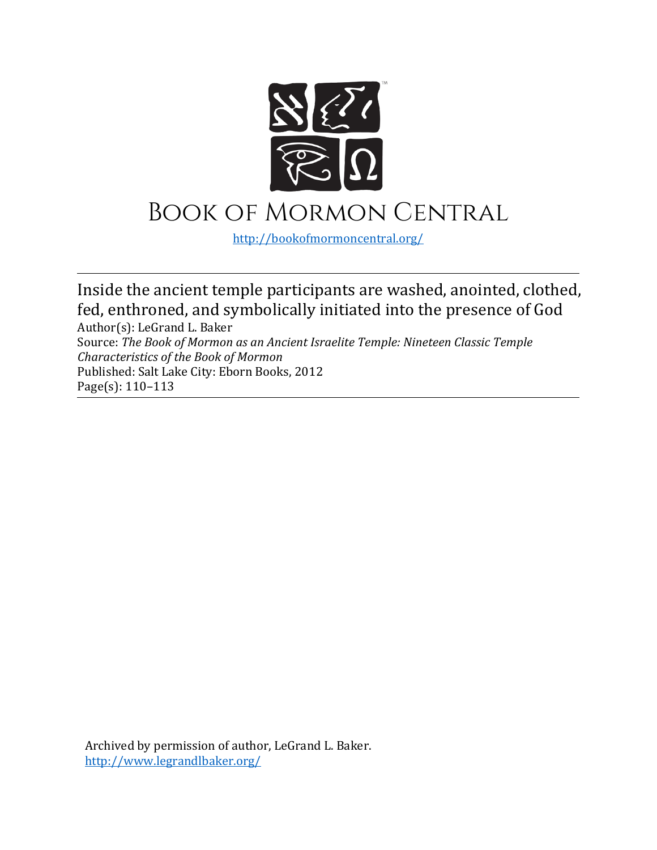

## Book of Mormon Central

<http://bookofmormoncentral.org/>

Inside the ancient temple participants are washed, anointed, clothed, fed, enthroned, and symbolically initiated into the presence of God

Author(s): LeGrand L. Baker Source: *The Book of Mormon as an Ancient Israelite Temple: Nineteen Classic Temple Characteristics of the Book of Mormon*  Published: Salt Lake City: Eborn Books, 2012 Page(s): 110–113

Archived by permission of author, LeGrand L. Baker. <http://www.legrandlbaker.org/>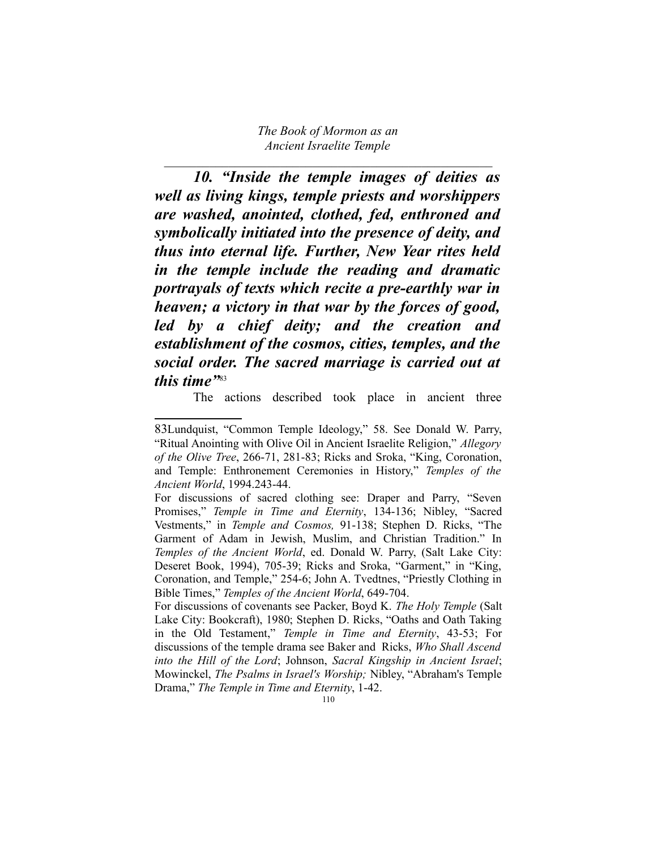$\mathcal{L}_\text{max}$  , and the contract of the contract of the contract of the contract of the contract of the contract of the contract of the contract of the contract of the contract of the contract of the contract of the contr

*10. "Inside the temple images of deities as well as living kings, temple priests and worshippers are washed, anointed, clothed, fed, enthroned and symbolically initiated into the presence of deity, and thus into eternal life. Further, New Year rites held in the temple include the reading and dramatic portrayals of texts which recite a pre-earthly war in heaven; a victory in that war by the forces of good, led by a chief deity; and the creation and establishment of the cosmos, cities, temples, and the social order. The sacred marriage is carried out at this time"*[83](#page-1-0)

The actions described took place in ancient three

<span id="page-1-0"></span><sup>83</sup>Lundquist, "Common Temple Ideology," 58. See Donald W. Parry, "Ritual Anointing with Olive Oil in Ancient Israelite Religion," *Allegory of the Olive Tree*, 266-71, 281-83; Ricks and Sroka, "King, Coronation, and Temple: Enthronement Ceremonies in History," *Temples of the Ancient World*, 1994.243-44.

For discussions of sacred clothing see: Draper and Parry, "Seven Promises," *Temple in Time and Eternity*, 134-136; Nibley, "Sacred Vestments," in *Temple and Cosmos,* 91-138; Stephen D. Ricks, "The Garment of Adam in Jewish, Muslim, and Christian Tradition." In *Temples of the Ancient World*, ed. Donald W. Parry, (Salt Lake City: Deseret Book, 1994), 705-39; Ricks and Sroka, "Garment," in "King, Coronation, and Temple," 254-6; John A. Tvedtnes, "Priestly Clothing in Bible Times," *Temples of the Ancient World*, 649-704.

For discussions of covenants see Packer, Boyd K. *The Holy Temple* (Salt Lake City: Bookcraft), 1980; Stephen D. Ricks, "Oaths and Oath Taking in the Old Testament," *Temple in Time and Eternity*, 43-53; For discussions of the temple drama see Baker and Ricks, *Who Shall Ascend into the Hill of the Lord*; Johnson, *Sacral Kingship in Ancient Israel*; Mowinckel, *The Psalms in Israel's Worship;* Nibley, "Abraham's Temple Drama," *The Temple in Time and Eternity*, 1-42.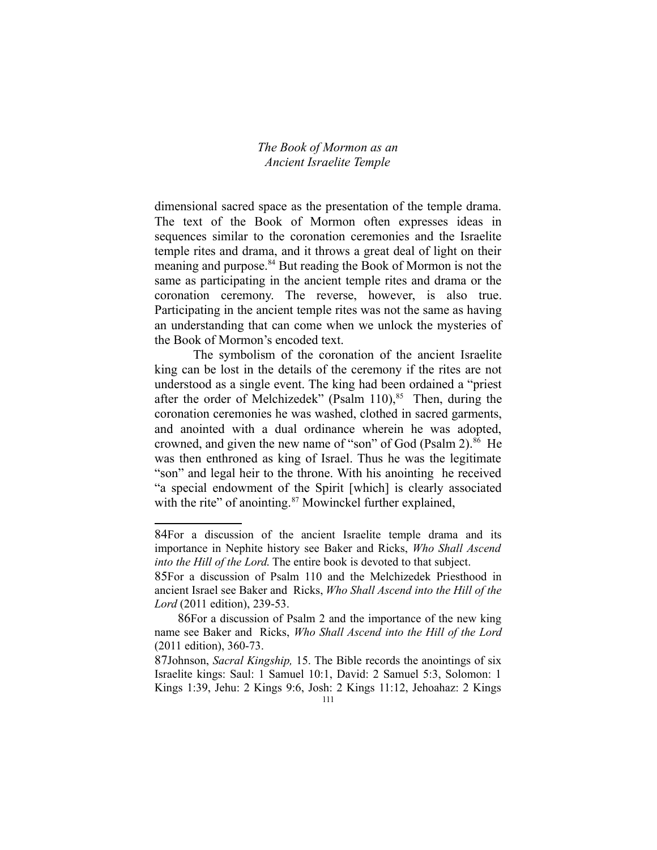dimensional sacred space as the presentation of the temple drama. The text of the Book of Mormon often expresses ideas in sequences similar to the coronation ceremonies and the Israelite temple rites and drama, and it throws a great deal of light on their meaning and purpose.[84](#page-2-0) But reading the Book of Mormon is not the same as participating in the ancient temple rites and drama or the coronation ceremony. The reverse, however, is also true. Participating in the ancient temple rites was not the same as having an understanding that can come when we unlock the mysteries of the Book of Mormon's encoded text.

The symbolism of the coronation of the ancient Israelite king can be lost in the details of the ceremony if the rites are not understood as a single event. The king had been ordained a "priest after the order of Melchizedek" (Psalm 110),  $85$  Then, during the coronation ceremonies he was washed, clothed in sacred garments, and anointed with a dual ordinance wherein he was adopted, crowned, and given the new name of "son" of God (Psalm 2). $86$  He was then enthroned as king of Israel. Thus he was the legitimate "son" and legal heir to the throne. With his anointing he received "a special endowment of the Spirit [which] is clearly associated with the rite" of anointing.<sup>[87](#page-2-3)</sup> Mowinckel further explained,

<span id="page-2-0"></span><sup>84</sup>For a discussion of the ancient Israelite temple drama and its importance in Nephite history see Baker and Ricks, *Who Shall Ascend into the Hill of the Lord*. The entire book is devoted to that subject.

<span id="page-2-1"></span><sup>85</sup>For a discussion of Psalm 110 and the Melchizedek Priesthood in ancient Israel see Baker and Ricks, *Who Shall Ascend into the Hill of the Lord* (2011 edition), 239-53.

<span id="page-2-2"></span><sup>86</sup>For a discussion of Psalm 2 and the importance of the new king name see Baker and Ricks, *Who Shall Ascend into the Hill of the Lord* (2011 edition), 360-73.

<span id="page-2-3"></span><sup>87</sup>Johnson, *Sacral Kingship,* 15. The Bible records the anointings of six Israelite kings: Saul: 1 Samuel 10:1, David: 2 Samuel 5:3, Solomon: 1 Kings 1:39, Jehu: 2 Kings 9:6, Josh: 2 Kings 11:12, Jehoahaz: 2 Kings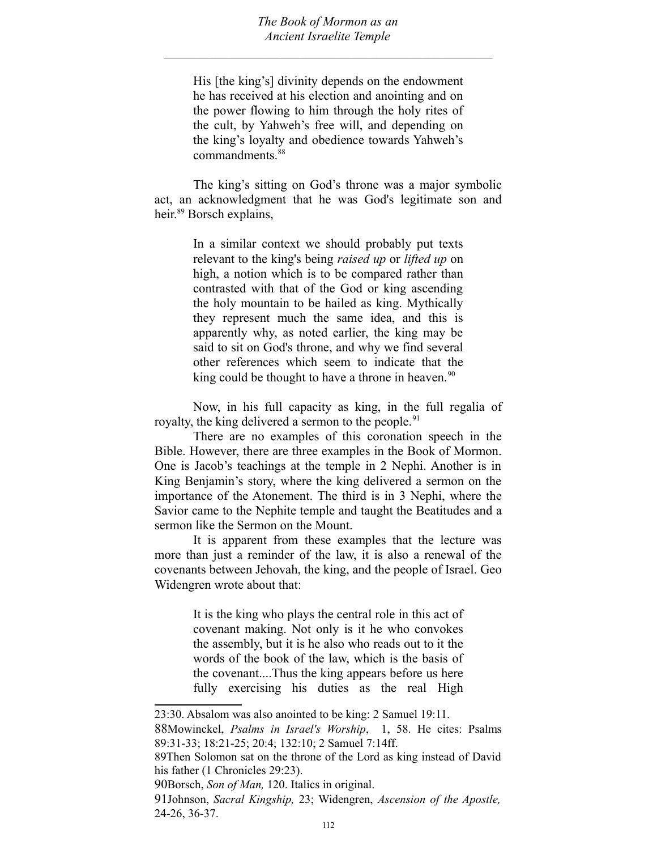$\mathcal{L}_\text{max}$  , and the contract of the contract of the contract of the contract of the contract of the contract of the contract of the contract of the contract of the contract of the contract of the contract of the contr

His [the king's] divinity depends on the endowment he has received at his election and anointing and on the power flowing to him through the holy rites of the cult, by Yahweh's free will, and depending on the king's loyalty and obedience towards Yahweh's commandments.<sup>[88](#page-3-0)</sup>

The king's sitting on God's throne was a major symbolic act, an acknowledgment that he was God's legitimate son and heir.<sup>[89](#page-3-1)</sup> Borsch explains,

> In a similar context we should probably put texts relevant to the king's being *raised up* or *lifted up* on high, a notion which is to be compared rather than contrasted with that of the God or king ascending the holy mountain to be hailed as king. Mythically they represent much the same idea, and this is apparently why, as noted earlier, the king may be said to sit on God's throne, and why we find several other references which seem to indicate that the king could be thought to have a throne in heaven.<sup>[90](#page-3-2)</sup>

Now, in his full capacity as king, in the full regalia of royalty, the king delivered a sermon to the people.<sup>[91](#page-3-3)</sup>

There are no examples of this coronation speech in the Bible. However, there are three examples in the Book of Mormon. One is Jacob's teachings at the temple in 2 Nephi. Another is in King Benjamin's story, where the king delivered a sermon on the importance of the Atonement. The third is in 3 Nephi, where the Savior came to the Nephite temple and taught the Beatitudes and a sermon like the Sermon on the Mount.

It is apparent from these examples that the lecture was more than just a reminder of the law, it is also a renewal of the covenants between Jehovah, the king, and the people of Israel. Geo Widengren wrote about that:

> It is the king who plays the central role in this act of covenant making. Not only is it he who convokes the assembly, but it is he also who reads out to it the words of the book of the law, which is the basis of the covenant....Thus the king appears before us here fully exercising his duties as the real High

<sup>23:30.</sup> Absalom was also anointed to be king: 2 Samuel 19:11.

<span id="page-3-0"></span><sup>88</sup>Mowinckel, *Psalms in Israel's Worship*, 1, 58. He cites: Psalms 89:31-33; 18:21-25; 20:4; 132:10; 2 Samuel 7:14ff.

<span id="page-3-1"></span><sup>89</sup>Then Solomon sat on the throne of the Lord as king instead of David his father (1 Chronicles 29:23).

<span id="page-3-2"></span><sup>90</sup>Borsch, *Son of Man,* 120. Italics in original.

<span id="page-3-3"></span><sup>91</sup>Johnson, *Sacral Kingship,* 23; Widengren, *Ascension of the Apostle,* 24-26, 36-37.